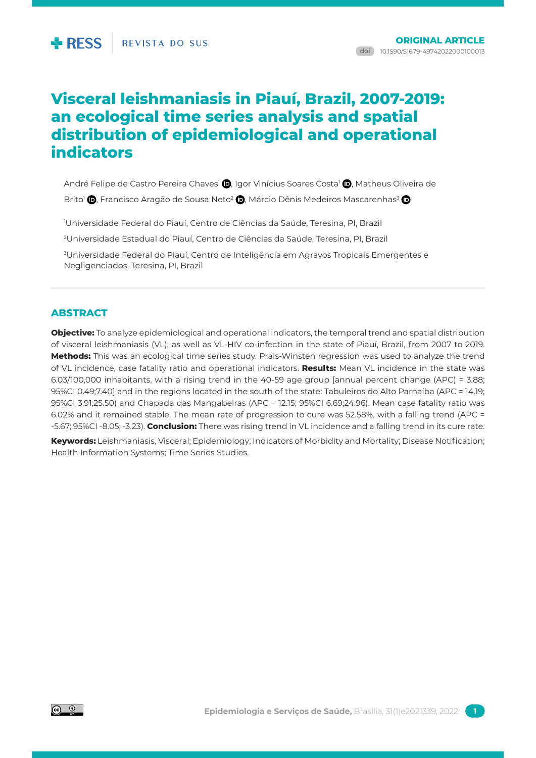# **Visceral leishmaniasis in Piauí, Brazil, 2007-2019: an ecological time series analysis and spatial distribution of epidemiological and operational indicators**

André Felipe de Castro Pereira Chaves<sup>1</sup> **D**. Igor Vinícius Soares Costa<sup>1</sup> D. Matheus Oliveira de

Brito<sup>1</sup> **D**, Francisco Aragão de Sousa Neto<sup>2</sup> (D, Márcio Dênis Medeiros Mascarenhas<sup>3</sup> (D

1 Universidade Federal do Piauí, Centro de Ciências da Saúde, Teresina, PI, Brazil

2 Universidade Estadual do Piauí, Centro de Ciências da Saúde, Teresina, PI, Brazil

3 Universidade Federal do Piauí, Centro de Inteligência em Agravos Tropicais Emergentes e Negligenciados, Teresina, PI, Brazil

# **abstract**

**Objective:** To analyze epidemiological and operational indicators, the temporal trend and spatial distribution of visceral leishmaniasis (VL), as well as VL-HIV co-infection in the state of Piauí, Brazil, from 2007 to 2019. **Methods:** This was an ecological time series study. Prais-Winsten regression was used to analyze the trend of VL incidence, case fatality ratio and operational indicators. **Results:** Mean VL incidence in the state was 6.03/100,000 inhabitants, with a rising trend in the 40-59 age group [annual percent change (APC) = 3.88; 95%CI 0.49;7.40] and in the regions located in the south of the state: Tabuleiros do Alto Parnaíba (APC = 14.19; 95%CI 3.91;25.50) and Chapada das Mangabeiras (APC = 12.15; 95%CI 6.69;24.96). Mean case fatality ratio was 6.02% and it remained stable. The mean rate of progression to cure was 52.58%, with a falling trend (APC = -5.67; 95%CI -8.05; -3.23). **Conclusion:** There was rising trend in VL incidence and a falling trend in its cure rate. **Keywords:** Leishmaniasis, Visceral; Epidemiology; Indicators of Morbidity and Mortality; Disease Notification;

Health Information Systems; Time Series Studies.

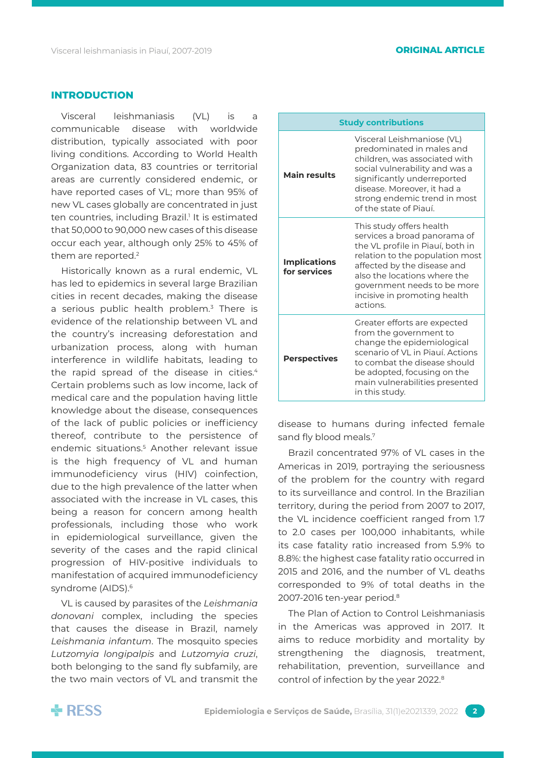# **Introduction**

Visceral leishmaniasis (VL) is a communicable disease with worldwide distribution, typically associated with poor living conditions. According to World Health Organization data, 83 countries or territorial areas are currently considered endemic, or have reported cases of VL; more than 95% of new VL cases globally are concentrated in just ten countries, including Brazil.<sup>1</sup> It is estimated that 50,000 to 90,000 new cases of this disease occur each year, although only 25% to 45% of them are reported.2

Historically known as a rural endemic, VL has led to epidemics in several large Brazilian cities in recent decades, making the disease a serious public health problem.<sup>3</sup> There is evidence of the relationship between VL and the country's increasing deforestation and urbanization process, along with human interference in wildlife habitats, leading to the rapid spread of the disease in cities.<sup>4</sup> Certain problems such as low income, lack of medical care and the population having little knowledge about the disease, consequences of the lack of public policies or inefficiency thereof, contribute to the persistence of endemic situations.5 Another relevant issue is the high frequency of VL and human immunodeficiency virus (HIV) coinfection, due to the high prevalence of the latter when associated with the increase in VL cases, this being a reason for concern among health professionals, including those who work in epidemiological surveillance, given the severity of the cases and the rapid clinical progression of HIV-positive individuals to manifestation of acquired immunodeficiency syndrome (AIDS).6

VL is caused by parasites of the *Leishmania donovani* complex, including the species that causes the disease in Brazil, namely *Leishmania infantum*. The mosquito species *Lutzomyia longipalpis* and *Lutzomyia cruzi*, both belonging to the sand fly subfamily, are the two main vectors of VL and transmit the

| <b>Study contributions</b>          |                                                                                                                                                                                                                                                                           |  |  |  |  |
|-------------------------------------|---------------------------------------------------------------------------------------------------------------------------------------------------------------------------------------------------------------------------------------------------------------------------|--|--|--|--|
| <b>Main results</b>                 | Visceral Leishmaniose (VL)<br>predominated in males and<br>children, was associated with<br>social vulnerability and was a<br>significantly underreported<br>disease. Moreover, it had a<br>strong endemic trend in most<br>of the state of Piauí.                        |  |  |  |  |
| <b>Implications</b><br>for services | This study offers health<br>services a broad panorama of<br>the VL profile in Piauí, both in<br>relation to the population most<br>affected by the disease and<br>also the locations where the<br>government needs to be more<br>incisive in promoting health<br>actions. |  |  |  |  |
| <b>Perspectives</b>                 | Greater efforts are expected<br>from the government to<br>change the epidemiological<br>scenario of VL in Piauí, Actions<br>to combat the disease should<br>be adopted, focusing on the<br>main vulnerabilities presented<br>in this study.                               |  |  |  |  |

disease to humans during infected female sand fly blood meals.<sup>7</sup>

Brazil concentrated 97% of VL cases in the Americas in 2019, portraying the seriousness of the problem for the country with regard to its surveillance and control. In the Brazilian territory, during the period from 2007 to 2017, the VL incidence coefficient ranged from 1.7 to 2.0 cases per 100,000 inhabitants, while its case fatality ratio increased from 5.9% to 8.8%: the highest case fatality ratio occurred in 2015 and 2016, and the number of VL deaths corresponded to 9% of total deaths in the 2007-2016 ten-year period.8

The Plan of Action to Control Leishmaniasis in the Americas was approved in 2017. It aims to reduce morbidity and mortality by strengthening the diagnosis, treatment, rehabilitation, prevention, surveillance and control of infection by the year 2022.<sup>8</sup>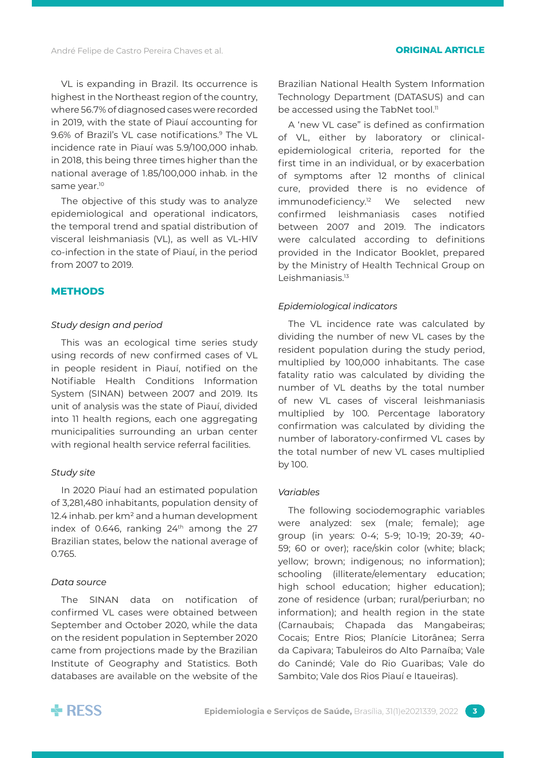VL is expanding in Brazil. Its occurrence is highest in the Northeast region of the country, where 56.7% of diagnosed cases were recorded in 2019, with the state of Piauí accounting for 9.6% of Brazil's VL case notifications.<sup>9</sup> The VL incidence rate in Piauí was 5.9/100,000 inhab. in 2018, this being three times higher than the national average of 1.85/100,000 inhab. in the same year.<sup>10</sup>

The objective of this study was to analyze epidemiological and operational indicators, the temporal trend and spatial distribution of visceral leishmaniasis (VL), as well as VL-HIV co-infection in the state of Piauí, in the period from 2007 to 2019.

# **Methods**

### *Study design and period*

This was an ecological time series study using records of new confirmed cases of VL in people resident in Piauí, notified on the Notifiable Health Conditions Information System (SINAN) between 2007 and 2019. Its unit of analysis was the state of Piauí, divided into 11 health regions, each one aggregating municipalities surrounding an urban center with regional health service referral facilities.

### *Study site*

In 2020 Piauí had an estimated population of 3,281,480 inhabitants, population density of 12.4 inhab. per km<sup>2</sup> and a human development index of 0.646, ranking  $24<sup>th</sup>$  among the 27 Brazilian states, below the national average of 0.765.

#### *Data source*

The SINAN data on notification of confirmed VL cases were obtained between September and October 2020, while the data on the resident population in September 2020 came from projections made by the Brazilian Institute of Geography and Statistics. Both databases are available on the website of the

Brazilian National Health System Information Technology Department (DATASUS) and can be accessed using the TabNet tool.<sup>11</sup>

A 'new VL case" is defined as confirmation of VL, either by laboratory or clinicalepidemiological criteria, reported for the first time in an individual, or by exacerbation of symptoms after 12 months of clinical cure, provided there is no evidence of immunodeficiency.12 We selected new confirmed leishmaniasis cases notified between 2007 and 2019. The indicators were calculated according to definitions provided in the Indicator Booklet, prepared by the Ministry of Health Technical Group on Leishmaniasis.<sup>13</sup>

### *Epidemiological indicators*

The VL incidence rate was calculated by dividing the number of new VL cases by the resident population during the study period, multiplied by 100,000 inhabitants. The case fatality ratio was calculated by dividing the number of VL deaths by the total number of new VL cases of visceral leishmaniasis multiplied by 100. Percentage laboratory confirmation was calculated by dividing the number of laboratory-confirmed VL cases by the total number of new VL cases multiplied by 100.

#### *Variables*

The following sociodemographic variables were analyzed: sex (male; female); age group (in years: 0-4; 5-9; 10-19; 20-39; 40- 59; 60 or over); race/skin color (white; black; yellow; brown; indigenous; no information); schooling (illiterate/elementary education; high school education; higher education); zone of residence (urban; rural/periurban; no information); and health region in the state (Carnaubais; Chapada das Mangabeiras; Cocais; Entre Rios; Planície Litorânea; Serra da Capivara; Tabuleiros do Alto Parnaíba; Vale do Canindé; Vale do Rio Guaribas; Vale do Sambito; Vale dos Rios Piauí e Itaueiras).

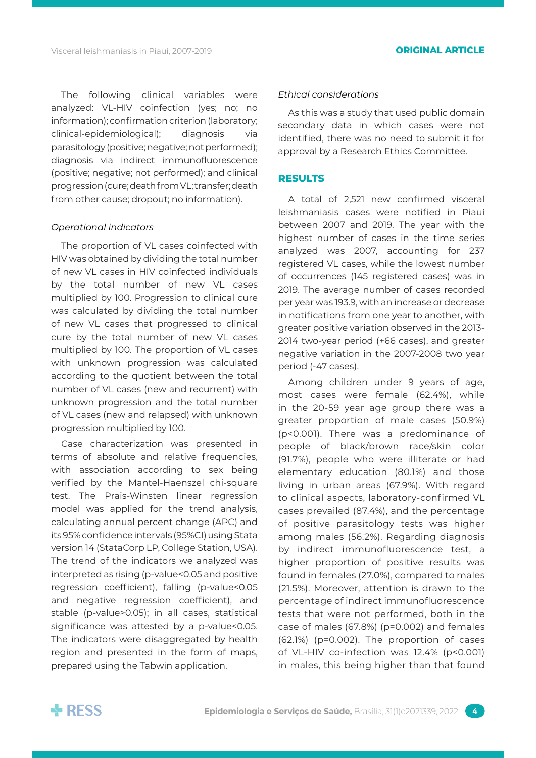The following clinical variables were analyzed: VL-HIV coinfection (yes; no; no information); confirmation criterion (laboratory; clinical-epidemiological); diagnosis via parasitology (positive; negative; not performed); diagnosis via indirect immunofluorescence (positive; negative; not performed); and clinical progression (cure; death from VL; transfer; death from other cause; dropout; no information).

# *Operational indicators*

The proportion of VL cases coinfected with HIV was obtained by dividing the total number of new VL cases in HIV coinfected individuals by the total number of new VL cases multiplied by 100. Progression to clinical cure was calculated by dividing the total number of new VL cases that progressed to clinical cure by the total number of new VL cases multiplied by 100. The proportion of VL cases with unknown progression was calculated according to the quotient between the total number of VL cases (new and recurrent) with unknown progression and the total number of VL cases (new and relapsed) with unknown progression multiplied by 100.

Case characterization was presented in terms of absolute and relative frequencies, with association according to sex being verified by the Mantel-Haenszel chi-square test. The Prais-Winsten linear regression model was applied for the trend analysis, calculating annual percent change (APC) and its 95% confidence intervals (95%CI) using Stata version 14 (StataCorp LP, College Station, USA). The trend of the indicators we analyzed was interpreted as rising (p-value<0.05 and positive regression coefficient), falling (p-value<0.05 and negative regression coefficient), and stable (p-value>0.05); in all cases, statistical significance was attested by a p-value<0.05. The indicators were disaggregated by health region and presented in the form of maps, prepared using the Tabwin application.

### *Ethical considerations*

As this was a study that used public domain secondary data in which cases were not identified, there was no need to submit it for approval by a Research Ethics Committee.

# **Results**

A total of 2,521 new confirmed visceral leishmaniasis cases were notified in Piauí between 2007 and 2019. The year with the highest number of cases in the time series analyzed was 2007, accounting for 237 registered VL cases, while the lowest number of occurrences (145 registered cases) was in 2019. The average number of cases recorded per year was 193.9, with an increase or decrease in notifications from one year to another, with greater positive variation observed in the 2013- 2014 two-year period (+66 cases), and greater negative variation in the 2007-2008 two year period (-47 cases).

Among children under 9 years of age, most cases were female (62.4%), while in the 20-59 year age group there was a greater proportion of male cases (50.9%) (p<0.001). There was a predominance of people of black/brown race/skin color (91.7%), people who were illiterate or had elementary education (80.1%) and those living in urban areas (67.9%). With regard to clinical aspects, laboratory-confirmed VL cases prevailed (87.4%), and the percentage of positive parasitology tests was higher among males (56.2%). Regarding diagnosis by indirect immunofluorescence test, a higher proportion of positive results was found in females (27.0%), compared to males (21.5%). Moreover, attention is drawn to the percentage of indirect immunofluorescence tests that were not performed, both in the case of males (67.8%) (p=0.002) and females (62.1%) (p=0.002). The proportion of cases of VL-HIV co-infection was 12.4% (p<0.001) in males, this being higher than that found

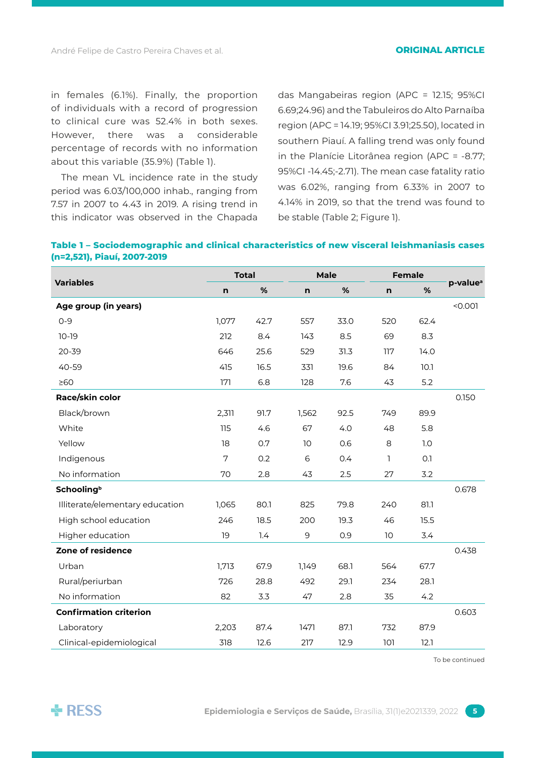in females (6.1%). Finally, the proportion of individuals with a record of progression to clinical cure was 52.4% in both sexes. However, there was a considerable percentage of records with no information about this variable (35.9%) (Table 1).

The mean VL incidence rate in the study period was 6.03/100,000 inhab., ranging from 7.57 in 2007 to 4.43 in 2019. A rising trend in this indicator was observed in the Chapada

das Mangabeiras region (APC = 12.15; 95%CI 6.69;24.96) and the Tabuleiros do Alto Parnaíba region (APC = 14.19; 95%CI 3.91;25.50), located in southern Piauí. A falling trend was only found in the Planície Litorânea region (APC = -8.77; 95%CI -14.45;-2.71). The mean case fatality ratio was 6.02%, ranging from 6.33% in 2007 to 4.14% in 2019, so that the trend was found to be stable (Table 2; Figure 1).

| Table 1 – Sociodemographic and clinical characteristics of new visceral leishmaniasis cases |  |  |
|---------------------------------------------------------------------------------------------|--|--|
| (n=2,521), Piauí, 2007-2019                                                                 |  |  |

|                                 | <b>Total</b> |      | <b>Male</b> |      | <b>Female</b> |      |                      |
|---------------------------------|--------------|------|-------------|------|---------------|------|----------------------|
| <b>Variables</b>                | n            | %    | n           | %    | n             | %    | p-value <sup>a</sup> |
| Age group (in years)            |              |      |             |      |               |      | < 0.001              |
| $0 - 9$                         | 1,077        | 42.7 | 557         | 33.0 | 520           | 62.4 |                      |
| $10-19$                         | 212          | 8.4  | 143         | 8.5  | 69            | 8.3  |                      |
| 20-39                           | 646          | 25.6 | 529         | 31.3 | 117           | 14.0 |                      |
| 40-59                           | 415          | 16.5 | 331         | 19.6 | 84            | 10.1 |                      |
| $\geq 60$                       | 171          | 6.8  | 128         | 7.6  | 43            | 5.2  |                      |
| Race/skin color                 |              |      |             |      |               |      | 0.150                |
| Black/brown                     | 2,311        | 91.7 | 1,562       | 92.5 | 749           | 89.9 |                      |
| White                           | 115          | 4.6  | 67          | 4.0  | 48            | 5.8  |                      |
| Yellow                          | 18           | 0.7  | 10          | 0.6  | 8             | 1.0  |                      |
| Indigenous                      | 7            | 0.2  | 6           | 0.4  | 1             | O.1  |                      |
| No information                  | 70           | 2.8  | 43          | 2.5  | 27            | 3.2  |                      |
| <b>Schooling</b> <sup>b</sup>   |              |      |             |      |               |      | 0.678                |
| Illiterate/elementary education | 1,065        | 80.1 | 825         | 79.8 | 240           | 81.1 |                      |
| High school education           | 246          | 18.5 | 200         | 19.3 | 46            | 15.5 |                      |
| Higher education                | 19           | 1.4  | 9           | 0.9  | 10            | 3.4  |                      |
| Zone of residence               |              |      |             |      |               |      | 0.438                |
| Urban                           | 1,713        | 67.9 | 1,149       | 68.1 | 564           | 67.7 |                      |
| Rural/periurban                 | 726          | 28.8 | 492         | 29.1 | 234           | 28.1 |                      |
| No information                  | 82           | 3.3  | 47          | 2.8  | 35            | 4.2  |                      |
| <b>Confirmation criterion</b>   |              |      |             |      |               |      | 0.603                |
| Laboratory                      | 2,203        | 87.4 | 1471        | 87.1 | 732           | 87.9 |                      |
| Clinical-epidemiological        | 318          | 12.6 | 217         | 12.9 | 101           | 12.1 |                      |

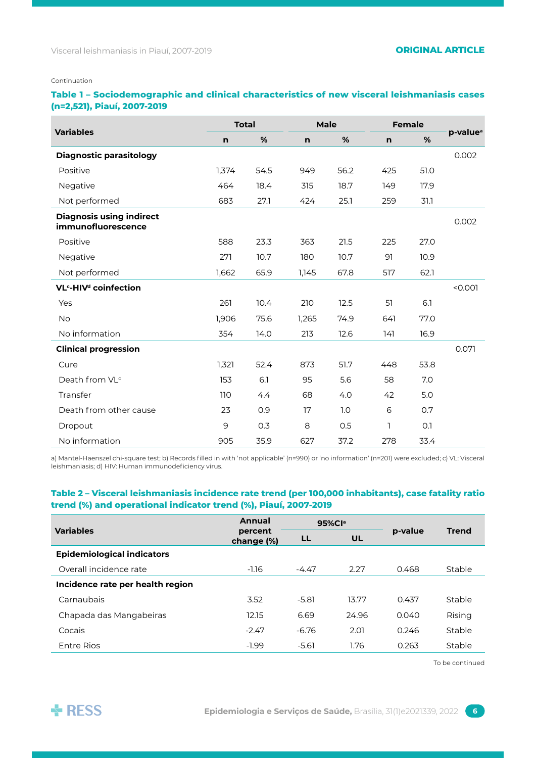#### Continuation

# **Table 1 – Sociodemographic and clinical characteristics of new visceral leishmaniasis cases (n=2,521), Piauí, 2007-2019**

| <b>Variables</b>                                      | <b>Total</b> |      | Male  |      | <b>Female</b> |      |                      |
|-------------------------------------------------------|--------------|------|-------|------|---------------|------|----------------------|
|                                                       | n            | %    | n     | %    | n             | %    | p-value <sup>a</sup> |
| <b>Diagnostic parasitology</b>                        |              |      |       |      |               |      | 0.002                |
| Positive                                              | 1,374        | 54.5 | 949   | 56.2 | 425           | 51.0 |                      |
| Negative                                              | 464          | 18.4 | 315   | 18.7 | 149           | 17.9 |                      |
| Not performed                                         | 683          | 27.1 | 424   | 25.1 | 259           | 31.1 |                      |
| <b>Diagnosis using indirect</b><br>immunofluorescence |              |      |       |      |               |      | 0.002                |
| Positive                                              | 588          | 23.3 | 363   | 21.5 | 225           | 27.0 |                      |
| Negative                                              | 271          | 10.7 | 180   | 10.7 | 91            | 10.9 |                      |
| Not performed                                         | 1,662        | 65.9 | 1,145 | 67.8 | 517           | 62.1 |                      |
| VL <sup>c</sup> -HIV <sup>d</sup> coinfection         |              |      |       |      |               |      | < 0.001              |
| Yes                                                   | 261          | 10.4 | 210   | 12.5 | 51            | 6.1  |                      |
| No                                                    | 1,906        | 75.6 | 1,265 | 74.9 | 641           | 77.0 |                      |
| No information                                        | 354          | 14.0 | 213   | 12.6 | 141           | 16.9 |                      |
| <b>Clinical progression</b>                           |              |      |       |      |               |      | 0.071                |
| Cure                                                  | 1,321        | 52.4 | 873   | 51.7 | 448           | 53.8 |                      |
| Death from VL <sup>c</sup>                            | 153          | 6.1  | 95    | 5.6  | 58            | 7.0  |                      |
| Transfer                                              | 110          | 4.4  | 68    | 4.0  | 42            | 5.0  |                      |
| Death from other cause                                | 23           | 0.9  | 17    | 1.0  | 6             | 0.7  |                      |
| Dropout                                               | 9            | 0.3  | 8     | 0.5  | ı             | O.1  |                      |
| No information                                        | 905          | 35.9 | 627   | 37.2 | 278           | 33.4 |                      |

a) Mantel-Haenszel chi-square test; b) Records filled in with 'not applicable' (n=990) or 'no information' (n=201) were excluded; c) VL: Visceral leishmaniasis; d) HIV: Human immunodeficiency virus.

# **Table 2 – Visceral leishmaniasis incidence rate trend (per 100,000 inhabitants), case fatality ratio trend (%) and operational indicator trend (%), Piauí, 2007-2019**

|                                   | Annual                |         | 95%Cla |         |              |
|-----------------------------------|-----------------------|---------|--------|---------|--------------|
| <b>Variables</b>                  | percent<br>change (%) | LL      | UL     | p-value | <b>Trend</b> |
| <b>Epidemiological indicators</b> |                       |         |        |         |              |
| Overall incidence rate            | $-1.16$               | -4.47   | 2.27   | 0.468   | Stable       |
| Incidence rate per health region  |                       |         |        |         |              |
| Carnaubais                        | 3.52                  | $-5.81$ | 13.77  | 0.437   | Stable       |
| Chapada das Mangabeiras           | 12.15                 | 6.69    | 24.96  | 0.040   | Rising       |
| Cocais                            | $-2.47$               | $-6.76$ | 2.01   | 0.246   | Stable       |
| Entre Rios                        | $-1.99$               | $-5.61$ | 1.76   | 0.263   | Stable       |

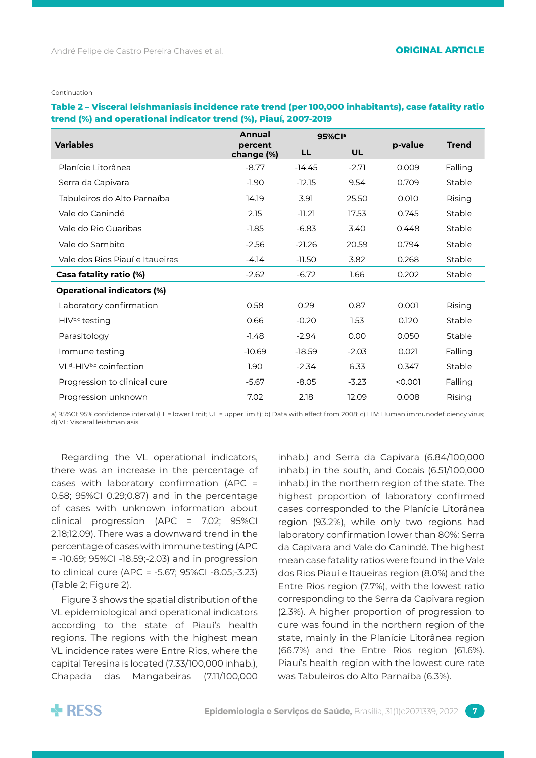Continuation

# **Table 2 – Visceral leishmaniasis incidence rate trend (per 100,000 inhabitants), case fatality ratio trend (%) and operational indicator trend (%), Piauí, 2007-2019**

|                                                 | <b>Annual</b>         |          | 95%Cla    |         |              |
|-------------------------------------------------|-----------------------|----------|-----------|---------|--------------|
| <b>Variables</b>                                | percent<br>change (%) | LL       | <b>UL</b> | p-value | <b>Trend</b> |
| Planície Litorânea                              | $-8.77$               | $-14.45$ | $-2.71$   | 0.009   | Falling      |
| Serra da Capivara                               | $-1.90$               | $-12.15$ | 9.54      | 0.709   | Stable       |
| Tabuleiros do Alto Parnaíba                     | 14.19                 | 3.91     | 25.50     | 0.010   | Rising       |
| Vale do Canindé                                 | 2.15                  | $-11.21$ | 17.53     | 0.745   | Stable       |
| Vale do Rio Guaribas                            | $-1.85$               | $-6.83$  | 3.40      | 0.448   | Stable       |
| Vale do Sambito                                 | $-2.56$               | $-21.26$ | 20.59     | 0.794   | Stable       |
| Vale dos Rios Piauí e Itaueiras                 | $-4.14$               | $-11.50$ | 3.82      | 0.268   | Stable       |
| Casa fatality ratio (%)                         | $-2.62$               | $-6.72$  | 1.66      | 0.202   | Stable       |
| <b>Operational indicators (%)</b>               |                       |          |           |         |              |
| Laboratory confirmation                         | 0.58                  | 0.29     | 0.87      | 0.001   | Rising       |
| HIV <sup>b,c</sup> testing                      | 0.66                  | $-0.20$  | 1.53      | 0.120   | Stable       |
| Parasitology                                    | $-1.48$               | $-2.94$  | 0.00      | 0.050   | Stable       |
| Immune testing                                  | $-10.69$              | $-18.59$ | $-2.03$   | 0.021   | Falling      |
| VL <sup>d</sup> -HIV <sup>b,c</sup> coinfection | 1.90                  | $-2.34$  | 6.33      | 0.347   | Stable       |
| Progression to clinical cure                    | $-5.67$               | $-8.05$  | $-3.23$   | < 0.001 | Falling      |
| Progression unknown                             | 7.02                  | 2.18     | 12.09     | 0.008   | Rising       |

a) 95%CI; 95% confidence interval (LL = lower limit; UL = upper limit); b) Data with effect from 2008; c) HIV: Human immunodeficiency virus; d) VL: Visceral leishmaniasis.

Regarding the VL operational indicators, there was an increase in the percentage of cases with laboratory confirmation (APC = 0.58; 95%CI 0.29;0.87) and in the percentage of cases with unknown information about clinical progression (APC = 7.02; 95%CI 2.18;12.09). There was a downward trend in the percentage of cases with immune testing (APC = -10.69; 95%CI -18.59;-2.03) and in progression to clinical cure (APC = -5.67; 95%CI -8.05;-3.23) (Table 2; Figure 2).

Figure 3 shows the spatial distribution of the VL epidemiological and operational indicators according to the state of Piauí's health regions. The regions with the highest mean VL incidence rates were Entre Rios, where the capital Teresina is located (7.33/100,000 inhab.), Chapada das Mangabeiras (7.11/100,000

inhab.) and Serra da Capivara (6.84/100,000 inhab.) in the south, and Cocais (6.51/100,000 inhab.) in the northern region of the state. The highest proportion of laboratory confirmed cases corresponded to the Planície Litorânea region (93.2%), while only two regions had laboratory confirmation lower than 80%: Serra da Capivara and Vale do Canindé. The highest mean case fatality ratios were found in the Vale dos Rios Piauí e Itaueiras region (8.0%) and the Entre Rios region (7.7%), with the lowest ratio corresponding to the Serra da Capivara region (2.3%). A higher proportion of progression to cure was found in the northern region of the state, mainly in the Planície Litorânea region (66.7%) and the Entre Rios region (61.6%). Piauí's health region with the lowest cure rate was Tabuleiros do Alto Parnaíba (6.3%).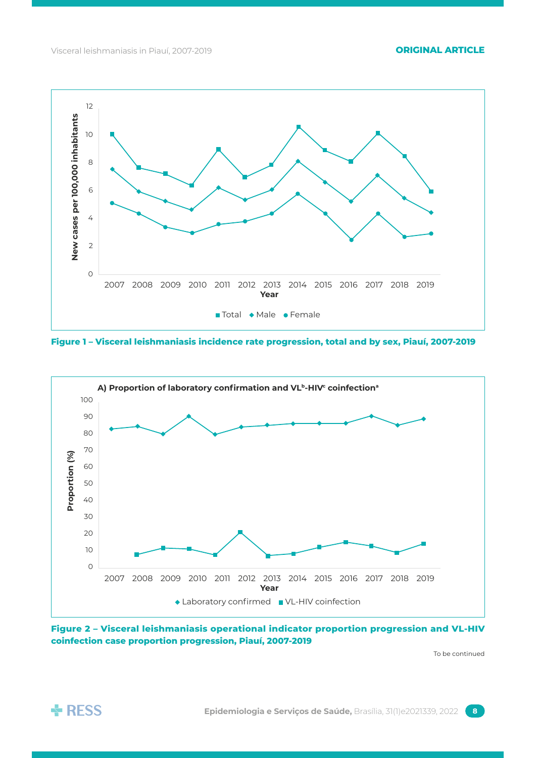

**Figure 1 – Visceral leishmaniasis incidence rate progression, total and by sex, Piauí, 2007-2019**



**Figure 2 – Visceral leishmaniasis operational indicator proportion progression and VL-HIV coinfection case proportion progression, Piauí, 2007-2019**

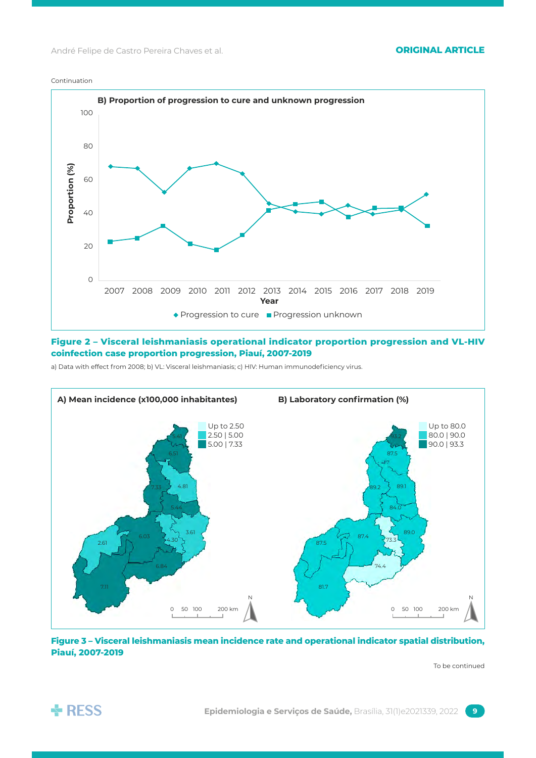#### Continuation



# **Figure 2 – Visceral leishmaniasis operational indicator proportion progression and VL-HIV coinfection case proportion progression, Piauí, 2007-2019**

a) Data with effect from 2008; b) VL: Visceral leishmaniasis; c) HIV: Human immunodeficiency virus.



**Figure 3 – Visceral leishmaniasis mean incidence rate and operational indicator spatial distribution, Piauí, 2007-2019**

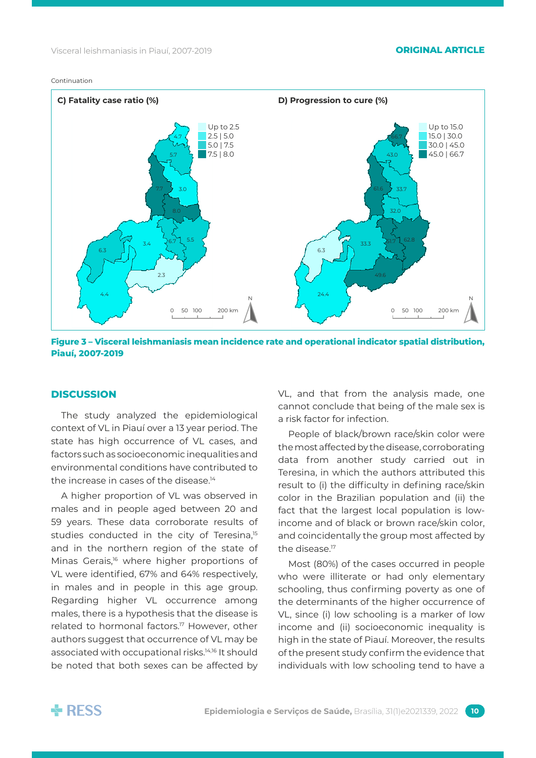



**Figure 3 – Visceral leishmaniasis mean incidence rate and operational indicator spatial distribution, Piauí, 2007-2019**

#### **Discussion**

The study analyzed the epidemiological context of VL in Piauí over a 13 year period. The state has high occurrence of VL cases, and factors such as socioeconomic inequalities and environmental conditions have contributed to the increase in cases of the disease.<sup>14</sup>

A higher proportion of VL was observed in males and in people aged between 20 and 59 years. These data corroborate results of studies conducted in the city of Teresina,<sup>15</sup> and in the northern region of the state of Minas Gerais,<sup>16</sup> where higher proportions of VL were identified, 67% and 64% respectively, in males and in people in this age group. Regarding higher VL occurrence among males, there is a hypothesis that the disease is related to hormonal factors.<sup>17</sup> However, other authors suggest that occurrence of VL may be associated with occupational risks.14,16 It should be noted that both sexes can be affected by VL, and that from the analysis made, one cannot conclude that being of the male sex is a risk factor for infection.

People of black/brown race/skin color were the most affected by the disease, corroborating data from another study carried out in Teresina, in which the authors attributed this result to (i) the difficulty in defining race/skin color in the Brazilian population and (ii) the fact that the largest local population is lowincome and of black or brown race/skin color, and coincidentally the group most affected by the disease.<sup>17</sup>

Most (80%) of the cases occurred in people who were illiterate or had only elementary schooling, thus confirming poverty as one of the determinants of the higher occurrence of VL, since (i) low schooling is a marker of low income and (ii) socioeconomic inequality is high in the state of Piauí. Moreover, the results of the present study confirm the evidence that individuals with low schooling tend to have a

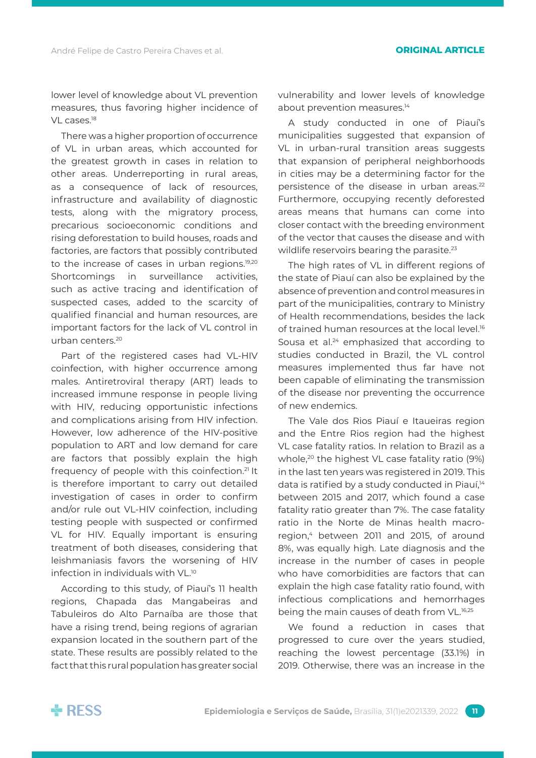lower level of knowledge about VL prevention measures, thus favoring higher incidence of VL cases.<sup>18</sup>

There was a higher proportion of occurrence of VL in urban areas, which accounted for the greatest growth in cases in relation to other areas. Underreporting in rural areas, as a consequence of lack of resources, infrastructure and availability of diagnostic tests, along with the migratory process, precarious socioeconomic conditions and rising deforestation to build houses, roads and factories, are factors that possibly contributed to the increase of cases in urban regions.<sup>19,20</sup> Shortcomings in surveillance activities, such as active tracing and identification of suspected cases, added to the scarcity of qualified financial and human resources, are important factors for the lack of VL control in urban centers.20

Part of the registered cases had VL-HIV coinfection, with higher occurrence among males. Antiretroviral therapy (ART) leads to increased immune response in people living with HIV, reducing opportunistic infections and complications arising from HIV infection. However, low adherence of the HIV-positive population to ART and low demand for care are factors that possibly explain the high frequency of people with this coinfection.21 It is therefore important to carry out detailed investigation of cases in order to confirm and/or rule out VL-HIV coinfection, including testing people with suspected or confirmed VL for HIV. Equally important is ensuring treatment of both diseases, considering that leishmaniasis favors the worsening of HIV infection in individuals with VL.10

According to this study, of Piauí's 11 health regions, Chapada das Mangabeiras and Tabuleiros do Alto Parnaíba are those that have a rising trend, being regions of agrarian expansion located in the southern part of the state. These results are possibly related to the fact that this rural population has greater social vulnerability and lower levels of knowledge about prevention measures.<sup>14</sup>

A study conducted in one of Piauí's municipalities suggested that expansion of VL in urban-rural transition areas suggests that expansion of peripheral neighborhoods in cities may be a determining factor for the persistence of the disease in urban areas.<sup>22</sup> Furthermore, occupying recently deforested areas means that humans can come into closer contact with the breeding environment of the vector that causes the disease and with wildlife reservoirs bearing the parasite.<sup>23</sup>

The high rates of VL in different regions of the state of Piauí can also be explained by the absence of prevention and control measures in part of the municipalities, contrary to Ministry of Health recommendations, besides the lack of trained human resources at the local level.16 Sousa et al.<sup>24</sup> emphasized that according to studies conducted in Brazil, the VL control measures implemented thus far have not been capable of eliminating the transmission of the disease nor preventing the occurrence of new endemics.

The Vale dos Rios Piauí e Itaueiras region and the Entre Rios region had the highest VL case fatality ratios. In relation to Brazil as a whole,<sup>20</sup> the highest VL case fatality ratio (9%) in the last ten years was registered in 2019. This data is ratified by a study conducted in Piauí,<sup>14</sup> between 2015 and 2017, which found a case fatality ratio greater than 7%. The case fatality ratio in the Norte de Minas health macroregion,<sup>4</sup> between 2011 and 2015, of around 8%, was equally high. Late diagnosis and the increase in the number of cases in people who have comorbidities are factors that can explain the high case fatality ratio found, with infectious complications and hemorrhages being the main causes of death from VL.<sup>16,25</sup>

We found a reduction in cases that progressed to cure over the years studied, reaching the lowest percentage (33.1%) in 2019. Otherwise, there was an increase in the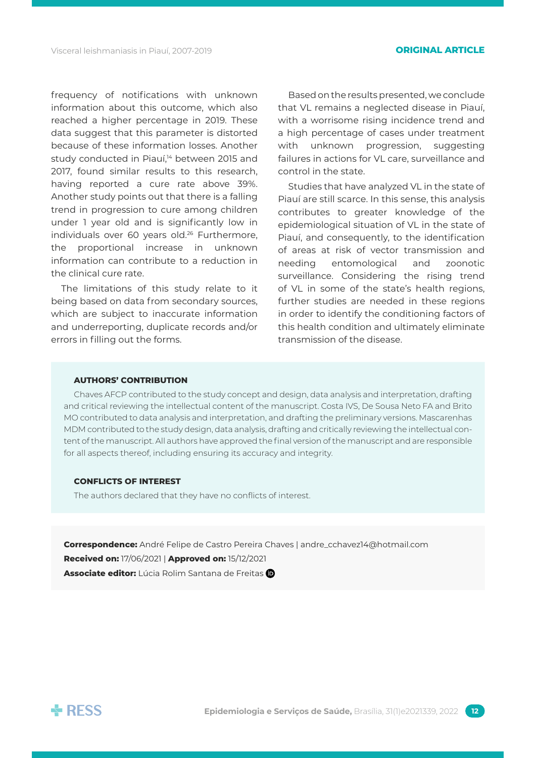frequency of notifications with unknown information about this outcome, which also reached a higher percentage in 2019. These data suggest that this parameter is distorted because of these information losses. Another study conducted in Piauí,<sup>14</sup> between 2015 and 2017, found similar results to this research, having reported a cure rate above 39%. Another study points out that there is a falling trend in progression to cure among children under 1 year old and is significantly low in individuals over 60 years old.<sup>26</sup> Furthermore, the proportional increase in unknown information can contribute to a reduction in the clinical cure rate.

The limitations of this study relate to it being based on data from secondary sources, which are subject to inaccurate information and underreporting, duplicate records and/or errors in filling out the forms.

Based on the results presented, we conclude that VL remains a neglected disease in Piauí, with a worrisome rising incidence trend and a high percentage of cases under treatment with unknown progression, suggesting failures in actions for VL care, surveillance and control in the state.

Studies that have analyzed VL in the state of Piauí are still scarce. In this sense, this analysis contributes to greater knowledge of the epidemiological situation of VL in the state of Piauí, and consequently, to the identification of areas at risk of vector transmission and needing entomological and zoonotic surveillance. Considering the rising trend of VL in some of the state's health regions, further studies are needed in these regions in order to identify the conditioning factors of this health condition and ultimately eliminate transmission of the disease.

### **AuthorS' contribution**

Chaves AFCP contributed to the study concept and design, data analysis and interpretation, drafting and critical reviewing the intellectual content of the manuscript. Costa IVS, De Sousa Neto FA and Brito MO contributed to data analysis and interpretation, and drafting the preliminary versions. Mascarenhas MDM contributed to the study design, data analysis, drafting and critically reviewing the intellectual content of the manuscript. All authors have approved the final version of the manuscript and are responsible for all aspects thereof, including ensuring its accuracy and integrity.

### **conflicts of interest**

The authors declared that they have no conflicts of interest.

**Correspondence:** André Felipe de Castro Pereira Chaves | andre\_cchavez14@hotmail.com **Received on:** 17/06/2021 | **Approved on:** 15/12/2021 **Associate editor:** Lúcia Rolim Santana de Freitas

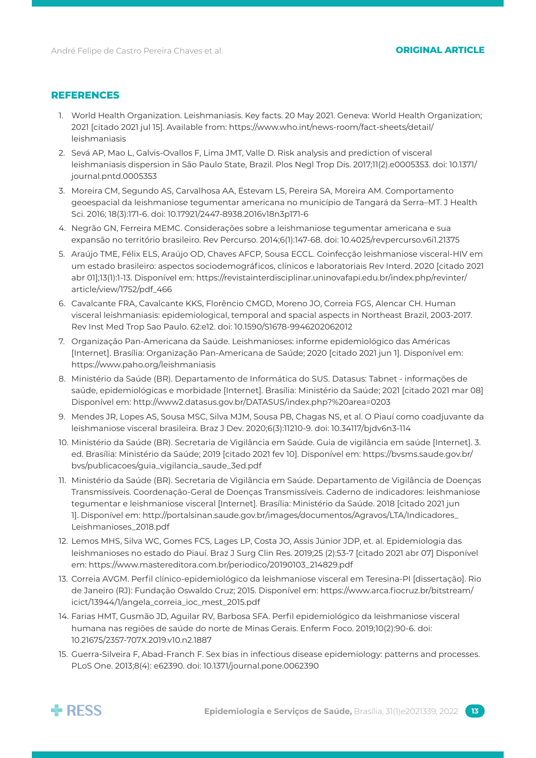# **References**

- 1. World Health Organization. Leishmaniasis. Key facts. 20 May 2021. Geneva: World Health Organization; 2021 [citado 2021 jul 15]. Available from: https://www.who.int/news-room/fact-sheets/detail/ leishmaniasis
- 2. Sevá AP, Mao L, Galvis-Ovallos F, Lima JMT, Valle D. Risk analysis and prediction of visceral leishmaniasis dispersion in São Paulo State, Brazil. Plos Negl Trop Dis. 2017;11(2).e0005353. doi: 10.1371/ journal.pntd.0005353
- 3. Moreira CM, Segundo AS, Carvalhosa AA, Estevam LS, Pereira SA, Moreira AM. Comportamento geoespacial da leishmaniose tegumentar americana no município de Tangará da Serra–MT. J Health Sci. 2016; 18(3):171-6. doi: 10.17921/2447-8938.2016v18n3p171-6
- 4. Negrão GN, Ferreira MEMC. Considerações sobre a leishmaniose tegumentar americana e sua expansão no território brasileiro. Rev Percurso. 2014;6(1):147-68. doi: 10.4025/revpercurso.v6i1.21375
- 5. Araújo TME, Félix ELS, Araújo OD, Chaves AFCP, Sousa ECCL. Coinfecção leishmaniose visceral-HIV em um estado brasileiro: aspectos sociodemográficos, clínicos e laboratoriais Rev Interd. 2020 [citado 2021 abr 01];13(1):1-13. Disponível em: https://revistainterdisciplinar.uninovafapi.edu.br/index.php/revinter/ article/view/1752/pdf\_466
- 6. Cavalcante FRA, Cavalcante KKS, Florêncio CMGD, Moreno JO, Correia FGS, Alencar CH. Human visceral leishmaniasis: epidemiological, temporal and spacial aspects in Northeast Brazil, 2003-2017. Rev Inst Med Trop Sao Paulo. 62:e12. doi: 10.1590/S1678-9946202062012
- 7. Organização Pan-Americana da Saúde. Leishmanioses: informe epidemiológico das Américas [Internet]. Brasília: Organização Pan-Americana de Saúde; 2020 [citado 2021 jun 1]. Disponível em: https://www.paho.org/leishmaniasis
- 8. Ministério da Saúde (BR). Departamento de Informática do SUS. Datasus: Tabnet informações de saúde, epidemiológicas e morbidade [Internet]. Brasília: Ministério da Saúde; 2021 [citado 2021 mar 08] Disponível em: http://www2.datasus.gov.br/DATASUS/index.php?%20area=0203
- 9. Mendes JR, Lopes AS, Sousa MSC, Silva MJM, Sousa PB, Chagas NS, et al. O Piauí como coadjuvante da leishmaniose visceral brasileira. Braz J Dev. 2020;6(3):11210-9. doi: 10.34117/bjdv6n3-114
- 10. Ministério da Saúde (BR). Secretaria de Vigilância em Saúde. Guia de vigilância em saúde [Internet]. 3. ed. Brasília: Ministério da Saúde; 2019 [citado 2021 fev 10]. Disponível em: https://bvsms.saude.gov.br/ bvs/publicacoes/guia\_vigilancia\_saude\_3ed.pdf
- 11. Ministério da Saúde (BR). Secretaria de Vigilância em Saúde. Departamento de Vigilância de Doenças Transmissíveis. Coordenação-Geral de Doenças Transmissíveis. Caderno de indicadores: leishmaniose tegumentar e leishmaniose visceral [Internet]. Brasília: Ministério da Saúde. 2018 [citado 2021 jun 1]. Disponível em: http://portalsinan.saude.gov.br/images/documentos/Agravos/LTA/Indicadores\_ Leishmanioses\_2018.pdf
- 12. Lemos MHS, Silva WC, Gomes FCS, Lages LP, Costa JO, Assis Júnior JDP, et. al. Epidemiologia das leishmanioses no estado do Piauí. Braz J Surg Clin Res. 2019;25 (2):53-7 [citado 2021 abr 07] Disponível em: https://www.mastereditora.com.br/periodico/20190103\_214829.pdf
- 13. Correia AVGM. Perfil clínico-epidemiológico da leishmaniose visceral em Teresina-PI [dissertação]. Rio de Janeiro (RJ): Fundação Oswaldo Cruz; 2015. Disponível em: https://www.arca.fiocruz.br/bitstream/ icict/13944/1/angela\_correia\_ioc\_mest\_2015.pdf
- 14. Farias HMT, Gusmão JD, Aguilar RV, Barbosa SFA. Perfil epidemiológico da leishmaniose visceral humana nas regiões de saúde do norte de Minas Gerais. Enferm Foco. 2019;10(2):90-6. doi: 10.21675/2357-707X.2019.v10.n2.1887
- 15. Guerra-Silveira F, Abad-Franch F. Sex bias in infectious disease epidemiology: patterns and processes. PLoS One. 2013;8(4): e62390. doi: 10.1371/journal.pone.0062390